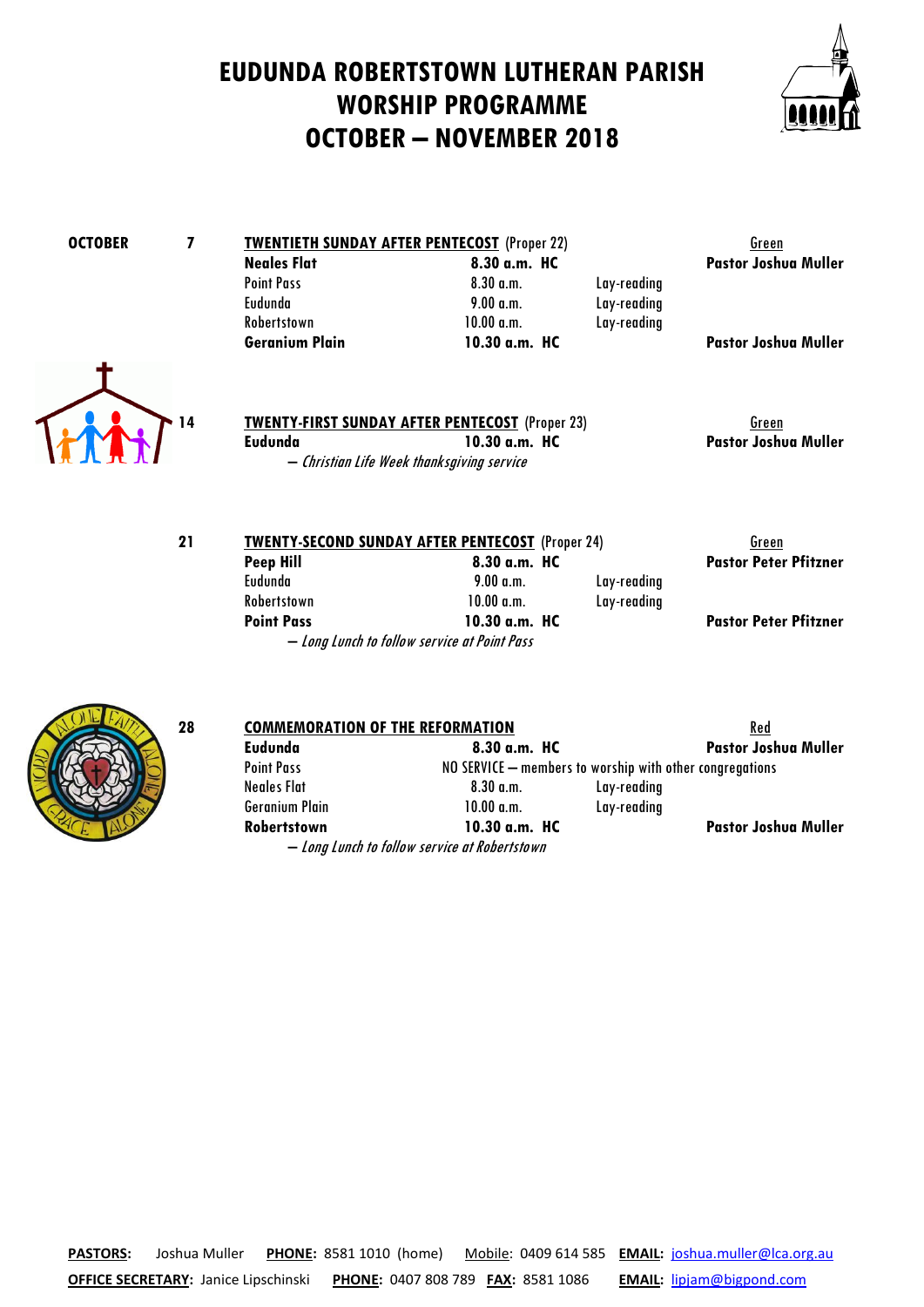### **EUDUNDA ROBERTSTOWN LUTHERAN PARISH WORSHIP PROGRAMME OCTOBER – NOVEMBER 2018**



# **OCTOBER 7 TWENTIETH SUNDAY AFTER PENTECOST** (Proper 22) Green<br>Neales Flat 8.30 a.m. HC Pastor Joshu

## **Neales Flat Reales Flat Reales Flat Reales Flat Reales Flat 8.30 a.m. HC Pastor Joshua Muller**<br>Point Pass **Realist Realist Realist Realist Realist Realist Realist Realist Realist Realist Realist Realist Realis** Point Pass 8.30 a.m. Lay-reading Robertstown 10.00 a.m. Lay-reading<br>
Geranium Plain 10.30 a.m. HC

Lay-reading

**Pastor Joshua Muller** 



**TWENTY-FIRST SUNDAY AFTER PENTECOST** (Proper 23) Green **Eudunda 10.30 a.m. HC Pastor Joshua Muller** – Christian Life Week thanksgiving service

| 21 | <b>TWENTY-SECOND SUNDAY AFTER PENTECOST (Proper 24)</b> |               |             | Green                        |
|----|---------------------------------------------------------|---------------|-------------|------------------------------|
|    | <b>Peep Hill</b>                                        | 8.30 a.m. HC  |             | <b>Pastor Peter Pfitzner</b> |
|    | Evdunda                                                 | 9.00 a.m.     | Lay-reading |                              |
|    | Robertstown                                             | 10.00 a.m.    | Lay-reading |                              |
|    | <b>Point Pass</b>                                       | 10.30 a.m. HC |             | <b>Pastor Peter Pfitzner</b> |

– Long Lunch to follow service at Point Pass

# **Pastor Peter Pfitzner**



| 28 | <b>COMMEMORATION OF THE REFORMATION</b> |                                               |                                                          | <b>Red</b>                  |  |  |
|----|-----------------------------------------|-----------------------------------------------|----------------------------------------------------------|-----------------------------|--|--|
|    | Eudunda                                 | 8.30 a.m. HC                                  |                                                          | <b>Pastor Joshua Muller</b> |  |  |
|    | <b>Point Pass</b>                       |                                               | NO SERVICE – members to worship with other congregations |                             |  |  |
|    | Neales Flat                             | 8.30 a.m.                                     | Lay-reading                                              |                             |  |  |
|    | <b>Geranium Plain</b>                   | 10.00 a.m.                                    | Lay-reading                                              |                             |  |  |
|    | Robertstown                             | 10.30 a.m. HC                                 |                                                          | <b>Pastor Joshua Muller</b> |  |  |
|    |                                         | - Long Lunch to follow service at Robertstown |                                                          |                             |  |  |

**PASTORS:** Joshua Muller **PHONE:** 8581 1010 (home) Mobile: 0409 614 585 **EMAIL:** [joshua.muller@lca.org.au](mailto:joshua.muller@lca.org.au) **OFFICE SECRETARY:** Janice Lipschinski **PHONE:** 0407 808 789 **FAX:** 8581 1086 **EMAIL:** [lipjam@bigpond.com](mailto:lipjam@bigpond.com)